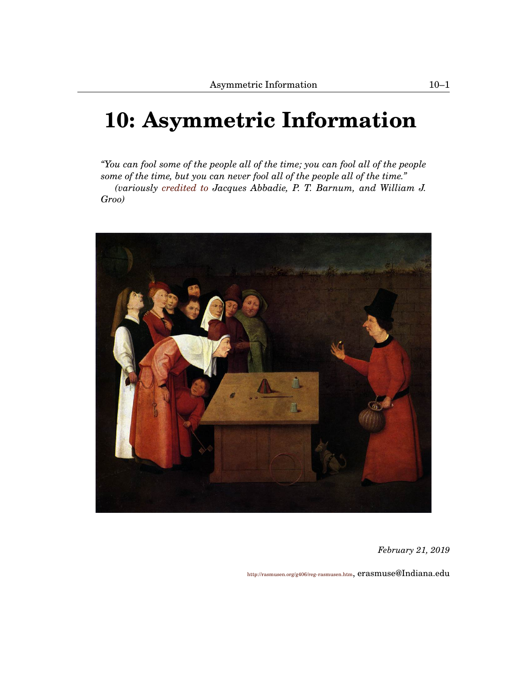# <span id="page-0-1"></span><span id="page-0-0"></span>**[10:](#page-0-0) Asymmetric Information**

*"You can fool some of the people all of the time; you can fool all of the people some of the time, but you can never fool all of the people all of the time." (variously [credited to](http://quoteinvestigator.com/2013/12/11/cannot-fool/) Jacques Abbadie, P. T. Barnum, and William J. Groo)*



*February 21, 2019*

<http://rasmusen.org/g406/reg-rasmusen.htm>, erasmuse@Indiana.edu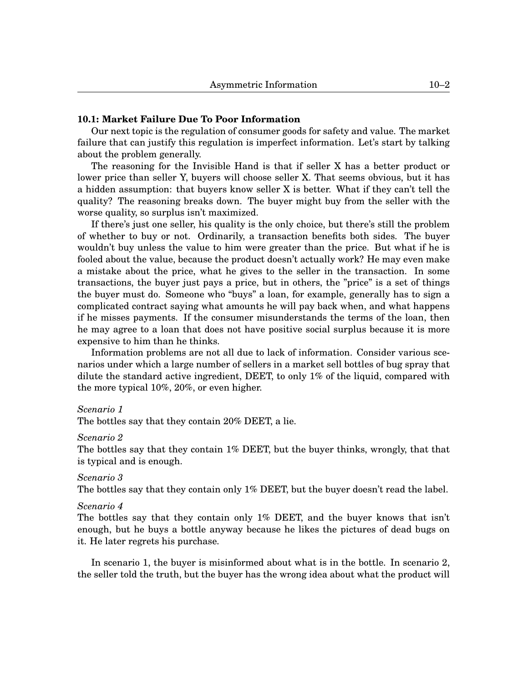# **[10.](#page-0-0)1: Market Failure Due To Poor Information**

Our next topic is the regulation of consumer goods for safety and value. The market failure that can justify this regulation is imperfect information. Let's start by talking about the problem generally.

The reasoning for the Invisible Hand is that if seller X has a better product or lower price than seller Y, buyers will choose seller X. That seems obvious, but it has a hidden assumption: that buyers know seller X is better. What if they can't tell the quality? The reasoning breaks down. The buyer might buy from the seller with the worse quality, so surplus isn't maximized.

If there's just one seller, his quality is the only choice, but there's still the problem of whether to buy or not. Ordinarily, a transaction benefits both sides. The buyer wouldn't buy unless the value to him were greater than the price. But what if he is fooled about the value, because the product doesn't actually work? He may even make a mistake about the price, what he gives to the seller in the transaction. In some transactions, the buyer just pays a price, but in others, the "price" is a set of things the buyer must do. Someone who "buys" a loan, for example, generally has to sign a complicated contract saying what amounts he will pay back when, and what happens if he misses payments. If the consumer misunderstands the terms of the loan, then he may agree to a loan that does not have positive social surplus because it is more expensive to him than he thinks.

Information problems are not all due to lack of information. Consider various scenarios under which a large number of sellers in a market sell bottles of bug spray that dilute the standard active ingredient, DEET, to only 1% of the liquid, compared with the more typical 10%, 20%, or even higher.

#### *Scenario 1*

The bottles say that they contain 20% DEET, a lie.

#### *Scenario 2*

The bottles say that they contain 1% DEET, but the buyer thinks, wrongly, that that is typical and is enough.

# *Scenario 3*

The bottles say that they contain only 1% DEET, but the buyer doesn't read the label.

#### *Scenario 4*

The bottles say that they contain only 1% DEET, and the buyer knows that isn't enough, but he buys a bottle anyway because he likes the pictures of dead bugs on it. He later regrets his purchase.

In scenario 1, the buyer is misinformed about what is in the bottle. In scenario 2, the seller told the truth, but the buyer has the wrong idea about what the product will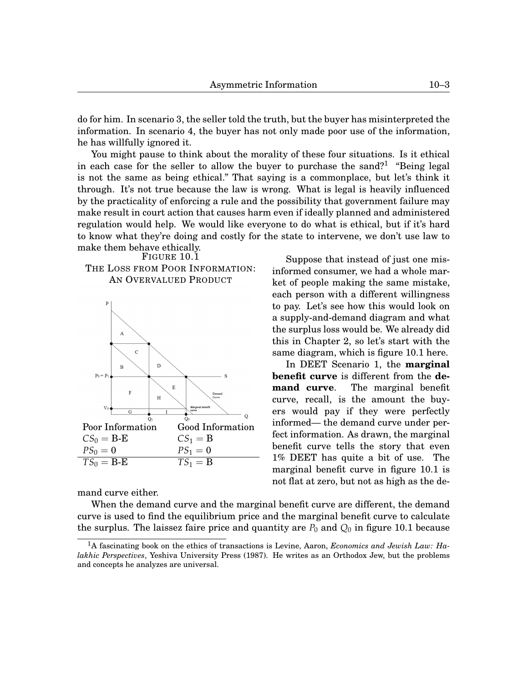do for him. In scenario 3, the seller told the truth, but the buyer has misinterpreted the information. In scenario 4, the buyer has not only made poor use of the information, he has willfully ignored it.

You might pause to think about the morality of these four situations. Is it ethical in each case for the seller to allow the buyer to purchase the sand?<sup>[1](#page-0-1)</sup> "Being legal is not the same as being ethical." That saying is a commonplace, but let's think it through. It's not true because the law is wrong. What is legal is heavily influenced by the practicality of enforcing a rule and the possibility that government failure may make result in court action that causes harm even if ideally planned and administered regulation would help. We would like everyone to do what is ethical, but if it's hard to know what they're doing and costly for the state to intervene, we don't use law to make them behave ethically.

FIGURE [10.](#page-0-0)[1](#page-2-0)

# THE LOSS FROM POOR INFORMATION: AN OVERVALUED PRODUCT

<span id="page-2-0"></span>

mand curve either.

When the demand curve and the marginal benefit curve are different, the demand curve is used to find the equilibrium price and the marginal benefit curve to calculate the surplus. The laissez faire price and quantity are  $P_0$  and  $Q_0$  in figure [10.](#page-0-0)[1](#page-2-0) because

Suppose that instead of just one misinformed consumer, we had a whole market of people making the same mistake, each person with a different willingness to pay. Let's see how this would look on a supply-and-demand diagram and what the surplus loss would be. We already did this in Chapter 2, so let's start with the same diagram, which is figure [10.](#page-0-0)[1](#page-2-0) here.

In DEET Scenario 1, the **marginal benefit curve** is different from the **demand curve**. The marginal benefit curve, recall, is the amount the buyers would pay if they were perfectly informed— the demand curve under perfect information. As drawn, the marginal benefit curve tells the story that even 1% DEET has quite a bit of use. The marginal benefit curve in figure [10.](#page-0-0)[1](#page-2-0) is not flat at zero, but not as high as the de-

<sup>1</sup>A fascinating book on the ethics of transactions is Levine, Aaron, *Economics and Jewish Law: Halakhic Perspectives*, Yeshiva University Press (1987). He writes as an Orthodox Jew, but the problems and concepts he analyzes are universal.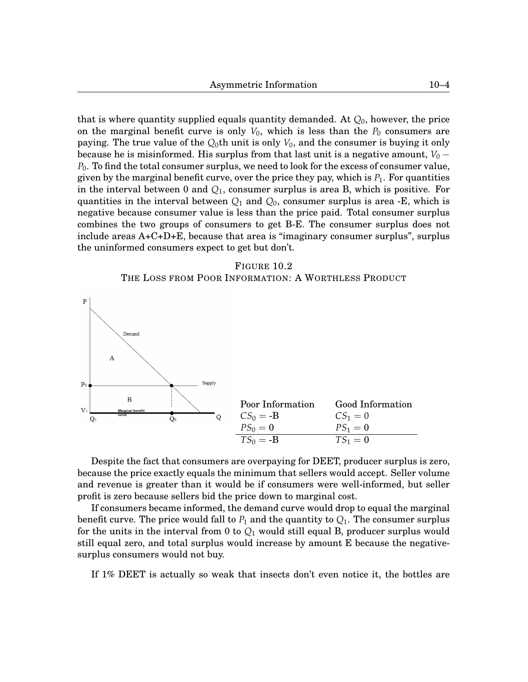that is where quantity supplied equals quantity demanded. At *Q*0, however, the price on the marginal benefit curve is only  $V_0$ , which is less than the  $P_0$  consumers are paying. The true value of the *Q*0th unit is only *V*0, and the consumer is buying it only because he is misinformed. His surplus from that last unit is a negative amount,  $V_0-\,$ *P*0. To find the total consumer surplus, we need to look for the excess of consumer value, given by the marginal benefit curve, over the price they pay, which is  $P_1$ . For quantities in the interval between 0 and *Q*1, consumer surplus is area B, which is positive. For quantities in the interval between *Q*<sup>1</sup> and *Q*0, consumer surplus is area -E, which is negative because consumer value is less than the price paid. Total consumer surplus combines the two groups of consumers to get B-E. The consumer surplus does not include areas  $A+C+D+E$ , because that area is "imaginary consumer surplus", surplus the uninformed consumers expect to get but don't.

#### FIGURE [10.](#page-0-0)[2](#page-3-0)

#### THE LOSS FROM POOR INFORMATION: A WORTHLESS PRODUCT

<span id="page-3-0"></span>

Despite the fact that consumers are overpaying for DEET, producer surplus is zero, because the price exactly equals the minimum that sellers would accept. Seller volume and revenue is greater than it would be if consumers were well-informed, but seller profit is zero because sellers bid the price down to marginal cost.

If consumers became informed, the demand curve would drop to equal the marginal benefit curve. The price would fall to  $P_1$  and the quantity to  $Q_1$ . The consumer surplus for the units in the interval from 0 to *Q*<sup>1</sup> would still equal B, producer surplus would still equal zero, and total surplus would increase by amount E because the negativesurplus consumers would not buy.

If 1% DEET is actually so weak that insects don't even notice it, the bottles are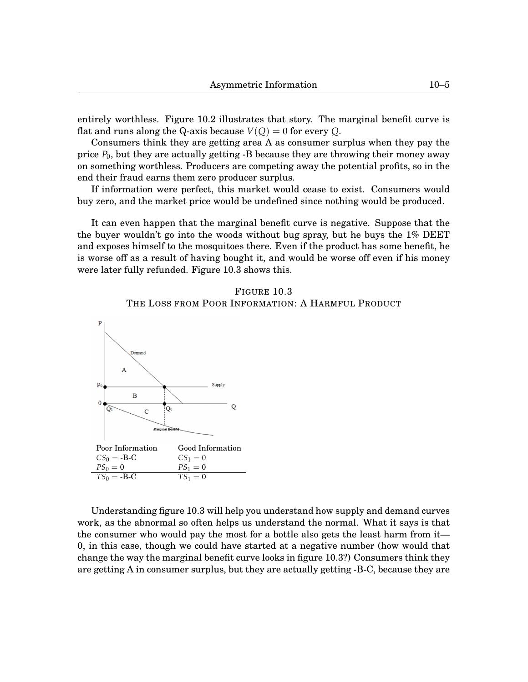Consumers think they are getting area A as consumer surplus when they pay the price  $P_0$ , but they are actually getting  $-B$  because they are throwing their money away on something worthless. Producers are competing away the potential profits, so in the end their fraud earns them zero producer surplus.

If information were perfect, this market would cease to exist. Consumers would buy zero, and the market price would be undefined since nothing would be produced.

It can even happen that the marginal benefit curve is negative. Suppose that the the buyer wouldn't go into the woods without bug spray, but he buys the 1% DEET and exposes himself to the mosquitoes there. Even if the product has some benefit, he is worse off as a result of having bought it, and would be worse off even if his money were later fully refunded. Figure [10.](#page-0-0)[3](#page-4-0) shows this.

# FIGURE [10.](#page-0-0)[3](#page-4-0) THE LOSS FROM POOR INFORMATION: A HARMFUL PRODUCT

<span id="page-4-0"></span>

Understanding figure [10](#page-0-0)[.3](#page-4-0) will help you understand how supply and demand curves work, as the abnormal so often helps us understand the normal. What it says is that the consumer who would pay the most for a bottle also gets the least harm from it— 0, in this case, though we could have started at a negative number (how would that change the way the marginal benefit curve looks in figure [10](#page-0-0)[.3?](#page-4-0)) Consumers think they are getting A in consumer surplus, but they are actually getting -B-C, because they are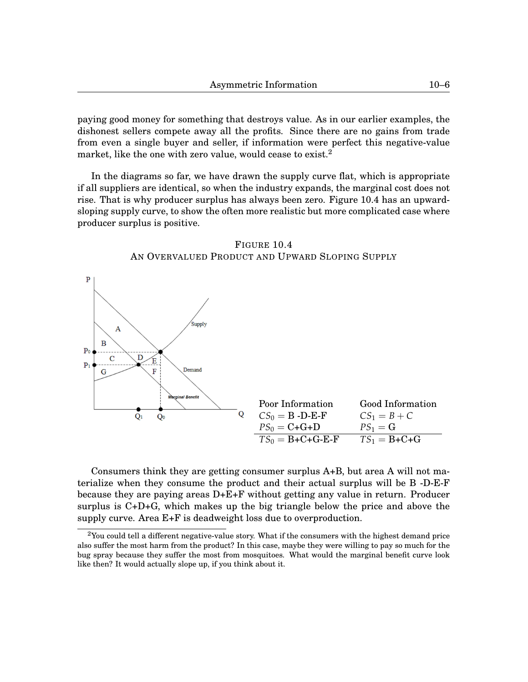paying good money for something that destroys value. As in our earlier examples, the dishonest sellers compete away all the profits. Since there are no gains from trade from even a single buyer and seller, if information were perfect this negative-value market, like the one with zero value, would cease to exist.<sup>[2](#page-0-1)</sup>

In the diagrams so far, we have drawn the supply curve flat, which is appropriate if all suppliers are identical, so when the industry expands, the marginal cost does not rise. That is why producer surplus has always been zero. Figure [10.](#page-0-0)[4](#page-5-0) has an upwardsloping supply curve, to show the often more realistic but more complicated case where producer surplus is positive.

<span id="page-5-0"></span>

FIGURE [10.](#page-0-0)[4](#page-5-0) AN OVERVALUED PRODUCT AND UPWARD SLOPING SUPPLY

Consumers think they are getting consumer surplus A+B, but area A will not materialize when they consume the product and their actual surplus will be B -D-E-F because they are paying areas D+E+F without getting any value in return. Producer surplus is C+D+G, which makes up the big triangle below the price and above the supply curve. Area E+F is deadweight loss due to overproduction.

 $2$ You could tell a different negative-value story. What if the consumers with the highest demand price also suffer the most harm from the product? In this case, maybe they were willing to pay so much for the bug spray because they suffer the most from mosquitoes. What would the marginal benefit curve look like then? It would actually slope up, if you think about it.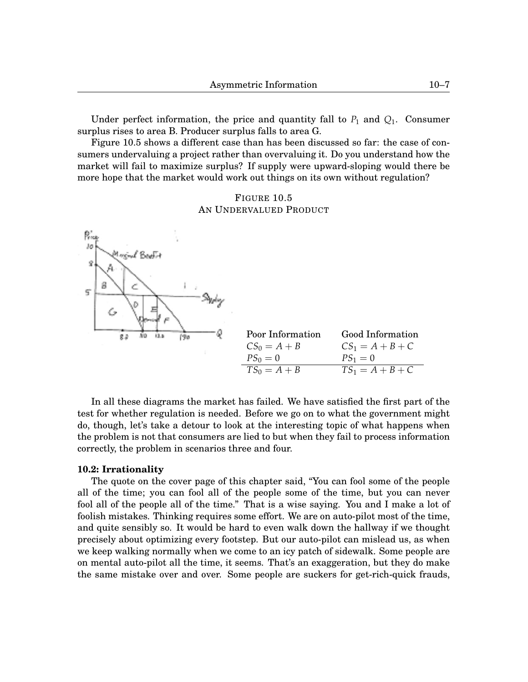Under perfect information, the price and quantity fall to  $P_1$  and  $Q_1$ . Consumer surplus rises to area B. Producer surplus falls to area G.

Figure [10.](#page-0-0)[5](#page-6-0) shows a different case than has been discussed so far: the case of consumers undervaluing a project rather than overvaluing it. Do you understand how the market will fail to maximize surplus? If supply were upward-sloping would there be more hope that the market would work out things on its own without regulation?

# FIGURE [10.](#page-0-0)[5](#page-6-0) AN UNDERVALUED PRODUCT

<span id="page-6-0"></span>

In all these diagrams the market has failed. We have satisfied the first part of the test for whether regulation is needed. Before we go on to what the government might do, though, let's take a detour to look at the interesting topic of what happens when the problem is not that consumers are lied to but when they fail to process information correctly, the problem in scenarios three and four.

#### **[10.](#page-0-0)2: Irrationality**

The quote on the cover page of this chapter said, "You can fool some of the people all of the time; you can fool all of the people some of the time, but you can never fool all of the people all of the time." That is a wise saying. You and I make a lot of foolish mistakes. Thinking requires some effort. We are on auto-pilot most of the time, and quite sensibly so. It would be hard to even walk down the hallway if we thought precisely about optimizing every footstep. But our auto-pilot can mislead us, as when we keep walking normally when we come to an icy patch of sidewalk. Some people are on mental auto-pilot all the time, it seems. That's an exaggeration, but they do make the same mistake over and over. Some people are suckers for get-rich-quick frauds,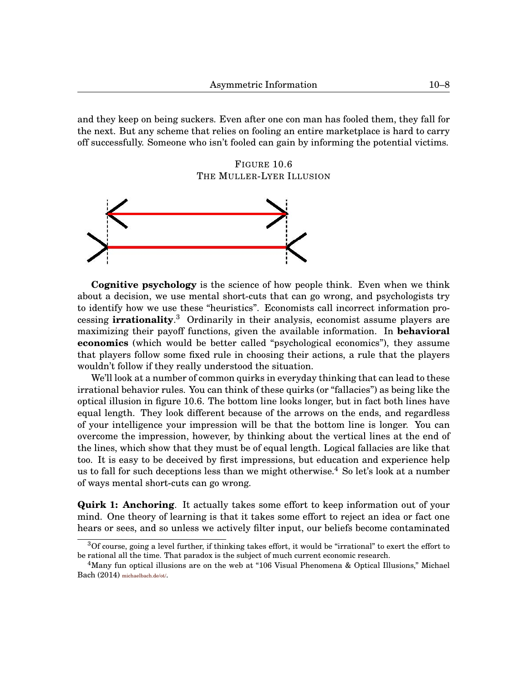and they keep on being suckers. Even after one con man has fooled them, they fall for the next. But any scheme that relies on fooling an entire marketplace is hard to carry off successfully. Someone who isn't fooled can gain by informing the potential victims.

FIGURE [10.](#page-0-0)[6](#page-7-0) THE MULLER-LYER ILLUSION

<span id="page-7-0"></span>

**Cognitive psychology** is the science of how people think. Even when we think about a decision, we use mental short-cuts that can go wrong, and psychologists try to identify how we use these "heuristics". Economists call incorrect information processing **irrationality**. [3](#page-0-1) Ordinarily in their analysis, economist assume players are maximizing their payoff functions, given the available information. In **behavioral economics** (which would be better called "psychological economics"), they assume that players follow some fixed rule in choosing their actions, a rule that the players wouldn't follow if they really understood the situation.

We'll look at a number of common quirks in everyday thinking that can lead to these irrational behavior rules. You can think of these quirks (or "fallacies") as being like the optical illusion in figure [10](#page-0-0)[.6.](#page-7-0) The bottom line looks longer, but in fact both lines have equal length. They look different because of the arrows on the ends, and regardless of your intelligence your impression will be that the bottom line is longer. You can overcome the impression, however, by thinking about the vertical lines at the end of the lines, which show that they must be of equal length. Logical fallacies are like that too. It is easy to be deceived by first impressions, but education and experience help us to fall for such deceptions less than we might otherwise.<sup>[4](#page-0-1)</sup> So let's look at a number of ways mental short-cuts can go wrong.

**Quirk 1: Anchoring**. It actually takes some effort to keep information out of your mind. One theory of learning is that it takes some effort to reject an idea or fact one hears or sees, and so unless we actively filter input, our beliefs become contaminated

<sup>3</sup>Of course, going a level further, if thinking takes effort, it would be "irrational" to exert the effort to be rational all the time. That paradox is the subject of much current economic research.

<sup>4</sup>Many fun optical illusions are on the web at "106 Visual Phenomena & Optical Illusions," Michael Bach (2014) <michaelbach.de/ot/>.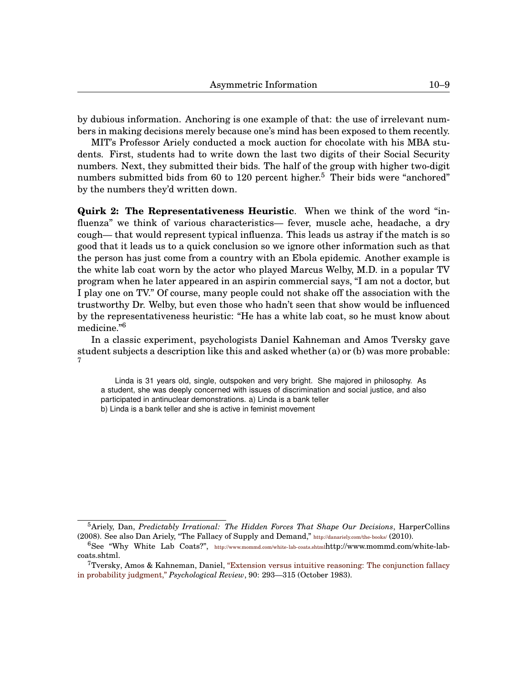by dubious information. Anchoring is one example of that: the use of irrelevant numbers in making decisions merely because one's mind has been exposed to them recently.

MIT's Professor Ariely conducted a mock auction for chocolate with his MBA students. First, students had to write down the last two digits of their Social Security numbers. Next, they submitted their bids. The half of the group with higher two-digit numbers submitted bids from 60 to 120 percent higher.<sup>[5](#page-0-1)</sup> Their bids were "anchored" by the numbers they'd written down.

**Quirk 2: The Representativeness Heuristic**. When we think of the word "influenza" we think of various characteristics— fever, muscle ache, headache, a dry cough— that would represent typical influenza. This leads us astray if the match is so good that it leads us to a quick conclusion so we ignore other information such as that the person has just come from a country with an Ebola epidemic. Another example is the white lab coat worn by the actor who played Marcus Welby, M.D. in a popular TV program when he later appeared in an aspirin commercial says, "I am not a doctor, but I play one on TV." Of course, many people could not shake off the association with the trustworthy Dr. Welby, but even those who hadn't seen that show would be influenced by the representativeness heuristic: "He has a white lab coat, so he must know about medicine."[6](#page-0-1)

In a classic experiment, psychologists Daniel Kahneman and Amos Tversky gave student subjects a description like this and asked whether (a) or (b) was more probable: [7](#page-0-1)

Linda is 31 years old, single, outspoken and very bright. She majored in philosophy. As a student, she was deeply concerned with issues of discrimination and social justice, and also participated in antinuclear demonstrations. a) Linda is a bank teller b) Linda is a bank teller and she is active in feminist movement

<sup>5</sup>Ariely, Dan, *Predictably Irrational: The Hidden Forces That Shape Our Decisions*, HarperCollins (2008). See also Dan Ariely, "The Fallacy of Supply and Demand," <http://danariely.com/the-books/> (2010).

<sup>6</sup>See "Why White Lab Coats?", [http://www.mommd.com/white- lab-coats.shtml](http://www.mommd.com/white-lab-coats.shtml)http://www.mommd.com/white-labcoats.shtml.

<sup>7</sup>Tversky, Amos & Kahneman, Daniel, ["Extension versus intuitive reasoning: The conjunction fallacy](http://www.sciencemag.org/content/185/4157/1124.short) [in probability judgment,"](http://www.sciencemag.org/content/185/4157/1124.short) *Psychological Review*, 90: 293—315 (October 1983).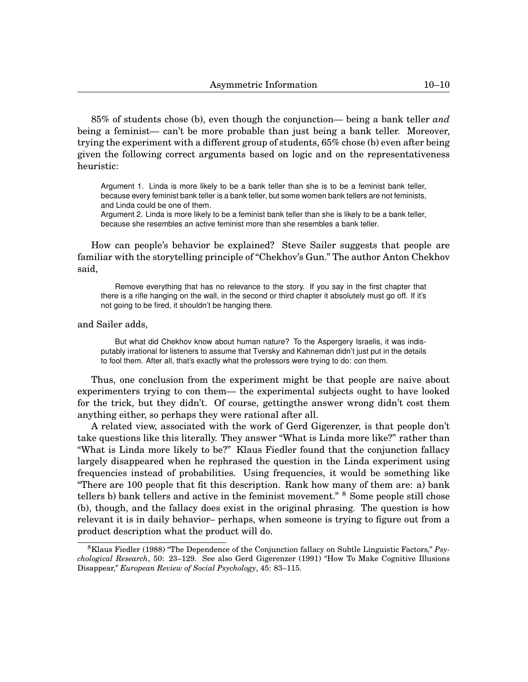85% of students chose (b), even though the conjunction— being a bank teller *and* being a feminist— can't be more probable than just being a bank teller. Moreover, trying the experiment with a different group of students, 65% chose (b) even after being given the following correct arguments based on logic and on the representativeness heuristic:

Argument 1. Linda is more likely to be a bank teller than she is to be a feminist bank teller, because every feminist bank teller is a bank teller, but some women bank tellers are not feminists, and Linda could be one of them.

Argument 2. Linda is more likely to be a feminist bank teller than she is likely to be a bank teller, because she resembles an active feminist more than she resembles a bank teller.

How can people's behavior be explained? Steve Sailer suggests that people are familiar with the storytelling principle of "Chekhov's Gun." The author Anton Chekhov said,

Remove everything that has no relevance to the story. If you say in the first chapter that there is a rifle hanging on the wall, in the second or third chapter it absolutely must go off. If it's not going to be fired, it shouldn't be hanging there.

#### and Sailer adds,

But what did Chekhov know about human nature? To the Aspergery Israelis, it was indisputably irrational for listeners to assume that Tversky and Kahneman didn't just put in the details to fool them. After all, that's exactly what the professors were trying to do: con them.

Thus, one conclusion from the experiment might be that people are naive about experimenters trying to con them— the experimental subjects ought to have looked for the trick, but they didn't. Of course, gettingthe answer wrong didn't cost them anything either, so perhaps they were rational after all.

A related view, associated with the work of Gerd Gigerenzer, is that people don't take questions like this literally. They answer "What is Linda more like?" rather than "What is Linda more likely to be?" Klaus Fiedler found that the conjunction fallacy largely disappeared when he rephrased the question in the Linda experiment using frequencies instead of probabilities. Using frequencies, it would be something like "There are 100 people that fit this description. Rank how many of them are: a) bank tellers b) bank tellers and active in the feminist movement." <sup>[8](#page-0-1)</sup> Some people still chose (b), though, and the fallacy does exist in the original phrasing. The question is how relevant it is in daily behavior– perhaps, when someone is trying to figure out from a product description what the product will do.

<sup>8</sup>Klaus Fiedler (1988) "The Dependence of the Conjunction fallacy on Subtle Linguistic Factors," *Psychological Research*, 50: 23–129. See also Gerd Gigerenzer (1991) "How To Make Cognitive Illusions Disappear," *European Review of Social Psychology*, 45: 83–115.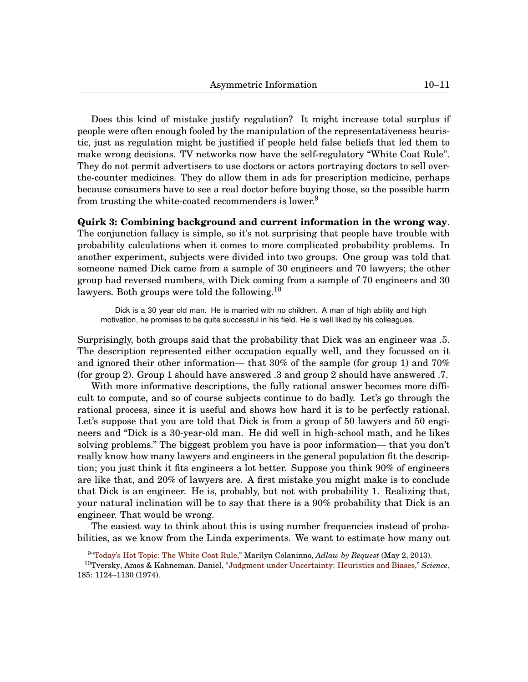Does this kind of mistake justify regulation? It might increase total surplus if people were often enough fooled by the manipulation of the representativeness heuristic, just as regulation might be justified if people held false beliefs that led them to make wrong decisions. TV networks now have the self-regulatory "White Coat Rule". They do not permit advertisers to use doctors or actors portraying doctors to sell overthe-counter medicines. They do allow them in ads for prescription medicine, perhaps because consumers have to see a real doctor before buying those, so the possible harm from trusting the white-coated recommenders is lower.<sup>[9](#page-0-1)</sup>

**Quirk 3: Combining background and current information in the wrong way**. The conjunction fallacy is simple, so it's not surprising that people have trouble with probability calculations when it comes to more complicated probability problems. In another experiment, subjects were divided into two groups. One group was told that someone named Dick came from a sample of 30 engineers and 70 lawyers; the other group had reversed numbers, with Dick coming from a sample of 70 engineers and 30 lawyers. Both groups were told the following.<sup>[10](#page-0-1)</sup>

Dick is a 30 year old man. He is married with no children. A man of high ability and high motivation, he promises to be quite successful in his field. He is well liked by his colleagues.

Surprisingly, both groups said that the probability that Dick was an engineer was .5. The description represented either occupation equally well, and they focussed on it and ignored their other information— that 30% of the sample (for group 1) and 70% (for group 2). Group 1 should have answered .3 and group 2 should have answered .7.

With more informative descriptions, the fully rational answer becomes more difficult to compute, and so of course subjects continue to do badly. Let's go through the rational process, since it is useful and shows how hard it is to be perfectly rational. Let's suppose that you are told that Dick is from a group of 50 lawyers and 50 engineers and "Dick is a 30-year-old man. He did well in high-school math, and he likes solving problems." The biggest problem you have is poor information— that you don't really know how many lawyers and engineers in the general population fit the description; you just think it fits engineers a lot better. Suppose you think 90% of engineers are like that, and 20% of lawyers are. A first mistake you might make is to conclude that Dick is an engineer. He is, probably, but not with probability 1. Realizing that, your natural inclination will be to say that there is a 90% probability that Dick is an engineer. That would be wrong.

The easiest way to think about this is using number frequencies instead of probabilities, as we know from the Linda experiments. We want to estimate how many out

<sup>9</sup> ["Today's Hot Topic: The White Coat Rule,"](http://www.adlawbyrequest.com/2013/05/articles/network-clearance-corner/todays-hot-topic-the-white-coat-rule/) Marilyn Colaninno, *Adlaw by Request* (May 2, 2013).

<sup>10</sup>Tversky, Amos & Kahneman, Daniel, ["Judgment under Uncertainty: Heuristics and Biases,"](http://www.sciencemag.org/content/185/4157/1124.short) *Science*, 185: 1124–1130 (1974).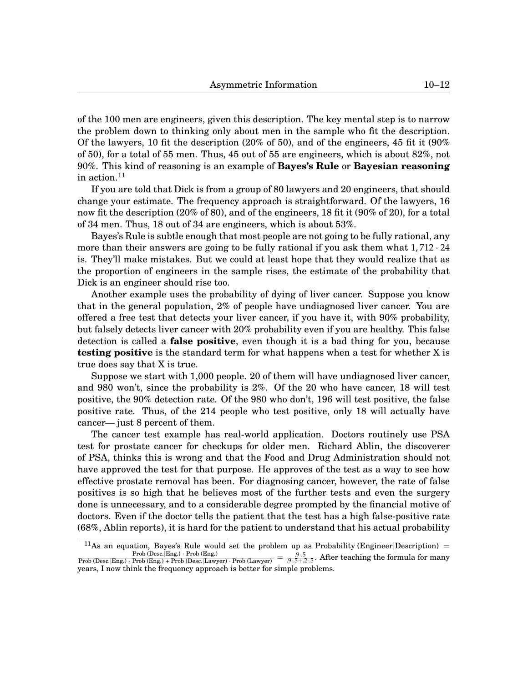of the 100 men are engineers, given this description. The key mental step is to narrow the problem down to thinking only about men in the sample who fit the description. Of the lawyers, 10 fit the description (20% of 50), and of the engineers, 45 fit it (90%) of 50), for a total of 55 men. Thus, 45 out of 55 are engineers, which is about 82%, not 90%. This kind of reasoning is an example of **Bayes's Rule** or **Bayesian reasoning** in action.<sup>[11](#page-0-1)</sup>

If you are told that Dick is from a group of 80 lawyers and 20 engineers, that should change your estimate. The frequency approach is straightforward. Of the lawyers, 16 now fit the description (20% of 80), and of the engineers, 18 fit it (90% of 20), for a total of 34 men. Thus, 18 out of 34 are engineers, which is about 53%.

Bayes's Rule is subtle enough that most people are not going to be fully rational, any more than their answers are going to be fully rational if you ask them what  $1,712 \cdot 24$ is. They'll make mistakes. But we could at least hope that they would realize that as the proportion of engineers in the sample rises, the estimate of the probability that Dick is an engineer should rise too.

Another example uses the probability of dying of liver cancer. Suppose you know that in the general population, 2% of people have undiagnosed liver cancer. You are offered a free test that detects your liver cancer, if you have it, with 90% probability, but falsely detects liver cancer with 20% probability even if you are healthy. This false detection is called a **false positive**, even though it is a bad thing for you, because **testing positive** is the standard term for what happens when a test for whether X is true does say that X is true.

Suppose we start with 1,000 people. 20 of them will have undiagnosed liver cancer, and 980 won't, since the probability is 2%. Of the 20 who have cancer, 18 will test positive, the 90% detection rate. Of the 980 who don't, 196 will test positive, the false positive rate. Thus, of the 214 people who test positive, only 18 will actually have cancer— just 8 percent of them.

The cancer test example has real-world application. Doctors routinely use PSA test for prostate cancer for checkups for older men. Richard Ablin, the discoverer of PSA, thinks this is wrong and that the Food and Drug Administration should not have approved the test for that purpose. He approves of the test as a way to see how effective prostate removal has been. For diagnosing cancer, however, the rate of false positives is so high that he believes most of the further tests and even the surgery done is unnecessary, and to a considerable degree prompted by the financial motive of doctors. Even if the doctor tells the patient that the test has a high false-positive rate (68%, Ablin reports), it is hard for the patient to understand that his actual probability

<sup>11</sup>As an equation, Bayes's Rule would set the problem up as Probability (Engineer|Description) = Prob (Desc.|Eng.) · Prob (Eng.)<br>Prob (Desc.|Eng.) · Prob (Desc.|Lawyer) · Prob (Lawyer) =  $\frac{.9 \cdot .5}{.9 \cdot .5 + .2 \cdot .5}$ . After teaching the formula for many years, I now think the frequency approach is better for simple problems.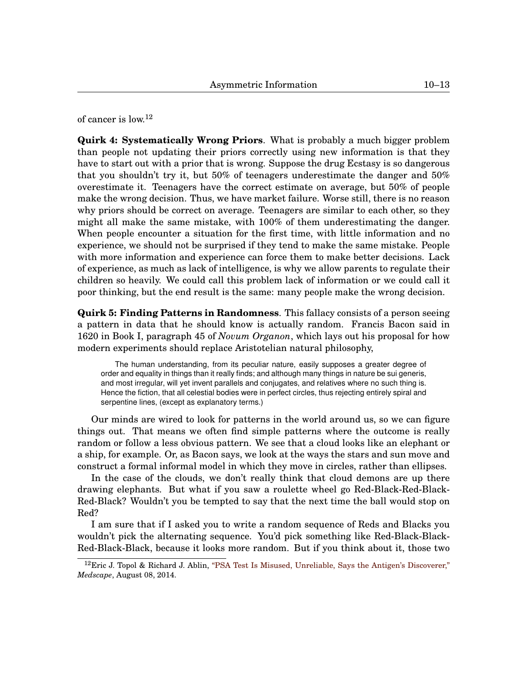of cancer is low.<sup>[12](#page-0-1)</sup>

**Quirk 4: Systematically Wrong Priors**. What is probably a much bigger problem than people not updating their priors correctly using new information is that they have to start out with a prior that is wrong. Suppose the drug Ecstasy is so dangerous that you shouldn't try it, but 50% of teenagers underestimate the danger and 50% overestimate it. Teenagers have the correct estimate on average, but 50% of people make the wrong decision. Thus, we have market failure. Worse still, there is no reason why priors should be correct on average. Teenagers are similar to each other, so they might all make the same mistake, with 100% of them underestimating the danger. When people encounter a situation for the first time, with little information and no experience, we should not be surprised if they tend to make the same mistake. People with more information and experience can force them to make better decisions. Lack of experience, as much as lack of intelligence, is why we allow parents to regulate their children so heavily. We could call this problem lack of information or we could call it poor thinking, but the end result is the same: many people make the wrong decision.

**Quirk 5: Finding Patterns in Randomness**. This fallacy consists of a person seeing a pattern in data that he should know is actually random. Francis Bacon said in 1620 in Book I, paragraph 45 of *Novum Organon*, which lays out his proposal for how modern experiments should replace Aristotelian natural philosophy,

The human understanding, from its peculiar nature, easily supposes a greater degree of order and equality in things than it really finds; and although many things in nature be sui generis, and most irregular, will yet invent parallels and conjugates, and relatives where no such thing is. Hence the fiction, that all celestial bodies were in perfect circles, thus rejecting entirely spiral and serpentine lines, (except as explanatory terms.)

Our minds are wired to look for patterns in the world around us, so we can figure things out. That means we often find simple patterns where the outcome is really random or follow a less obvious pattern. We see that a cloud looks like an elephant or a ship, for example. Or, as Bacon says, we look at the ways the stars and sun move and construct a formal informal model in which they move in circles, rather than ellipses.

In the case of the clouds, we don't really think that cloud demons are up there drawing elephants. But what if you saw a roulette wheel go Red-Black-Red-Black-Red-Black? Wouldn't you be tempted to say that the next time the ball would stop on Red?

I am sure that if I asked you to write a random sequence of Reds and Blacks you wouldn't pick the alternating sequence. You'd pick something like Red-Black-Black-Red-Black-Black, because it looks more random. But if you think about it, those two

<sup>&</sup>lt;sup>12</sup>Eric J. Topol & Richard J. Ablin, ["PSA Test Is Misused, Unreliable, Says the Antigen's Discoverer,"](http://www.medscape.com/viewarticle/828854) *Medscape*, August 08, 2014.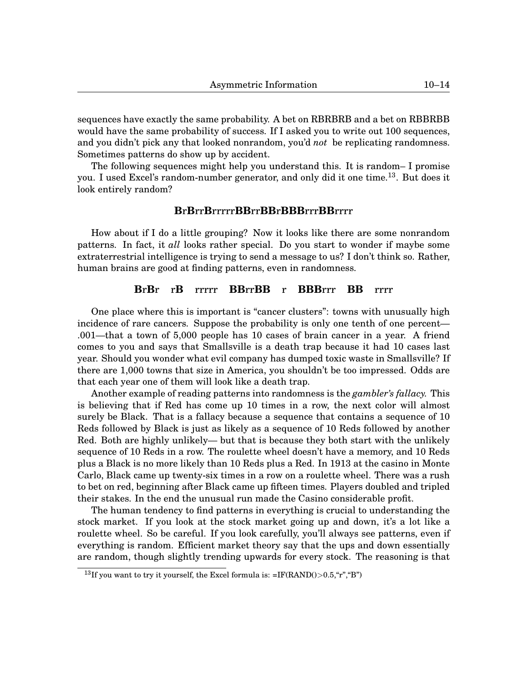sequences have exactly the same probability. A bet on RBRBRB and a bet on RBBRBB would have the same probability of success. If I asked you to write out 100 sequences, and you didn't pick any that looked nonrandom, you'd *not* be replicating randomness. Sometimes patterns do show up by accident.

The following sequences might help you understand this. It is random– I promise you. I used Excel's random-number generator, and only did it one time.[13](#page-0-1). But does it look entirely random?

# **B**r**B**rr**B**rrrrr**BB**rr**BB**r**BBB**rrr**BB**rrrr

How about if I do a little grouping? Now it looks like there are some nonrandom patterns. In fact, it *all* looks rather special. Do you start to wonder if maybe some extraterrestrial intelligence is trying to send a message to us? I don't think so. Rather, human brains are good at finding patterns, even in randomness.

# **B**r**B**r r**B** rrrrr **BB**rr**BB** r **BBB**rrr **BB** rrrr

One place where this is important is "cancer clusters": towns with unusually high incidence of rare cancers. Suppose the probability is only one tenth of one percent— .001—that a town of 5,000 people has 10 cases of brain cancer in a year. A friend comes to you and says that Smallsville is a death trap because it had 10 cases last year. Should you wonder what evil company has dumped toxic waste in Smallsville? If there are 1,000 towns that size in America, you shouldn't be too impressed. Odds are that each year one of them will look like a death trap.

Another example of reading patterns into randomness is the *gambler's fallacy.* This is believing that if Red has come up 10 times in a row, the next color will almost surely be Black. That is a fallacy because a sequence that contains a sequence of 10 Reds followed by Black is just as likely as a sequence of 10 Reds followed by another Red. Both are highly unlikely— but that is because they both start with the unlikely sequence of 10 Reds in a row. The roulette wheel doesn't have a memory, and 10 Reds plus a Black is no more likely than 10 Reds plus a Red. In 1913 at the casino in Monte Carlo, Black came up twenty-six times in a row on a roulette wheel. There was a rush to bet on red, beginning after Black came up fifteen times. Players doubled and tripled their stakes. In the end the unusual run made the Casino considerable profit.

The human tendency to find patterns in everything is crucial to understanding the stock market. If you look at the stock market going up and down, it's a lot like a roulette wheel. So be careful. If you look carefully, you'll always see patterns, even if everything is random. Efficient market theory say that the ups and down essentially are random, though slightly trending upwards for every stock. The reasoning is that

<sup>&</sup>lt;sup>13</sup>If you want to try it yourself, the Excel formula is:  $=IF(RAND() > 0.5, "r", "B")$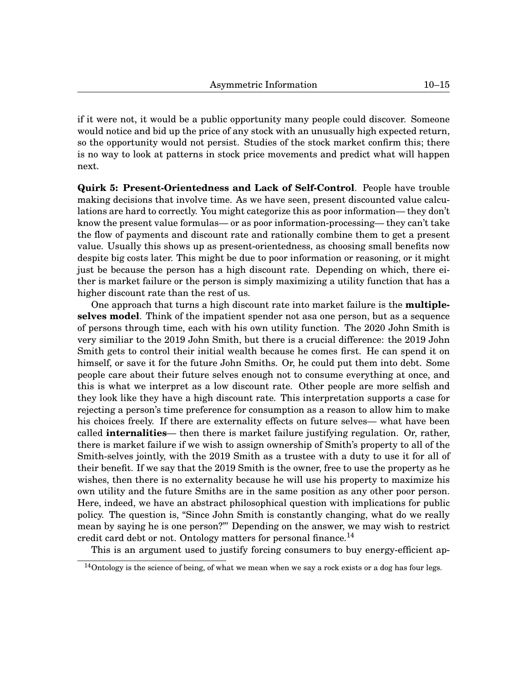if it were not, it would be a public opportunity many people could discover. Someone would notice and bid up the price of any stock with an unusually high expected return, so the opportunity would not persist. Studies of the stock market confirm this; there is no way to look at patterns in stock price movements and predict what will happen next.

**Quirk 5: Present-Orientedness and Lack of Self-Control**. People have trouble making decisions that involve time. As we have seen, present discounted value calculations are hard to correctly. You might categorize this as poor information— they don't know the present value formulas— or as poor information-processing— they can't take the flow of payments and discount rate and rationally combine them to get a present value. Usually this shows up as present-orientedness, as choosing small benefits now despite big costs later. This might be due to poor information or reasoning, or it might just be because the person has a high discount rate. Depending on which, there either is market failure or the person is simply maximizing a utility function that has a higher discount rate than the rest of us.

One approach that turns a high discount rate into market failure is the **multipleselves model**. Think of the impatient spender not asa one person, but as a sequence of persons through time, each with his own utility function. The 2020 John Smith is very similiar to the 2019 John Smith, but there is a crucial difference: the 2019 John Smith gets to control their initial wealth because he comes first. He can spend it on himself, or save it for the future John Smiths. Or, he could put them into debt. Some people care about their future selves enough not to consume everything at once, and this is what we interpret as a low discount rate. Other people are more selfish and they look like they have a high discount rate. This interpretation supports a case for rejecting a person's time preference for consumption as a reason to allow him to make his choices freely. If there are externality effects on future selves— what have been called **internalities**— then there is market failure justifying regulation. Or, rather, there is market failure if we wish to assign ownership of Smith's property to all of the Smith-selves jointly, with the 2019 Smith as a trustee with a duty to use it for all of their benefit. If we say that the 2019 Smith is the owner, free to use the property as he wishes, then there is no externality because he will use his property to maximize his own utility and the future Smiths are in the same position as any other poor person. Here, indeed, we have an abstract philosophical question with implications for public policy. The question is, "Since John Smith is constantly changing, what do we really mean by saying he is one person?"' Depending on the answer, we may wish to restrict credit card debt or not. Ontology matters for personal finance.<sup>[14](#page-0-1)</sup>

This is an argument used to justify forcing consumers to buy energy-efficient ap-

<sup>14</sup>Ontology is the science of being, of what we mean when we say a rock exists or a dog has four legs.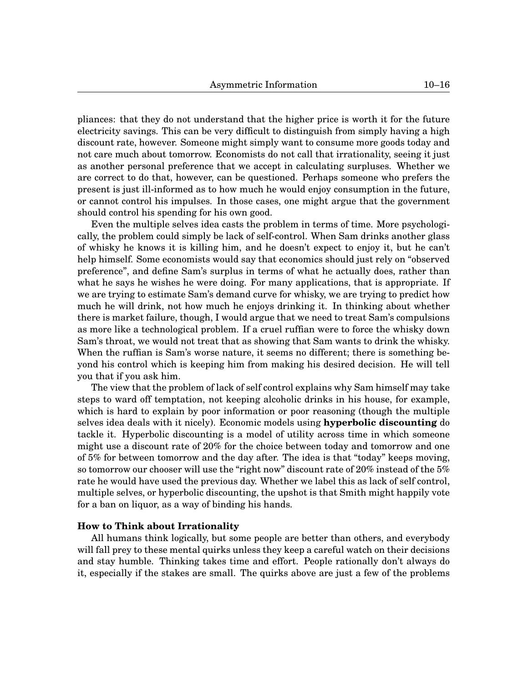pliances: that they do not understand that the higher price is worth it for the future electricity savings. This can be very difficult to distinguish from simply having a high discount rate, however. Someone might simply want to consume more goods today and not care much about tomorrow. Economists do not call that irrationality, seeing it just as another personal preference that we accept in calculating surpluses. Whether we are correct to do that, however, can be questioned. Perhaps someone who prefers the present is just ill-informed as to how much he would enjoy consumption in the future, or cannot control his impulses. In those cases, one might argue that the government should control his spending for his own good.

Even the multiple selves idea casts the problem in terms of time. More psychologically, the problem could simply be lack of self-control. When Sam drinks another glass of whisky he knows it is killing him, and he doesn't expect to enjoy it, but he can't help himself. Some economists would say that economics should just rely on "observed preference", and define Sam's surplus in terms of what he actually does, rather than what he says he wishes he were doing. For many applications, that is appropriate. If we are trying to estimate Sam's demand curve for whisky, we are trying to predict how much he will drink, not how much he enjoys drinking it. In thinking about whether there is market failure, though, I would argue that we need to treat Sam's compulsions as more like a technological problem. If a cruel ruffian were to force the whisky down Sam's throat, we would not treat that as showing that Sam wants to drink the whisky. When the ruffian is Sam's worse nature, it seems no different; there is something beyond his control which is keeping him from making his desired decision. He will tell you that if you ask him.

The view that the problem of lack of self control explains why Sam himself may take steps to ward off temptation, not keeping alcoholic drinks in his house, for example, which is hard to explain by poor information or poor reasoning (though the multiple selves idea deals with it nicely). Economic models using **hyperbolic discounting** do tackle it. Hyperbolic discounting is a model of utility across time in which someone might use a discount rate of 20% for the choice between today and tomorrow and one of 5% for between tomorrow and the day after. The idea is that "today" keeps moving, so tomorrow our chooser will use the "right now" discount rate of 20% instead of the  $5\%$ rate he would have used the previous day. Whether we label this as lack of self control, multiple selves, or hyperbolic discounting, the upshot is that Smith might happily vote for a ban on liquor, as a way of binding his hands.

## **How to Think about Irrationality**

All humans think logically, but some people are better than others, and everybody will fall prey to these mental quirks unless they keep a careful watch on their decisions and stay humble. Thinking takes time and effort. People rationally don't always do it, especially if the stakes are small. The quirks above are just a few of the problems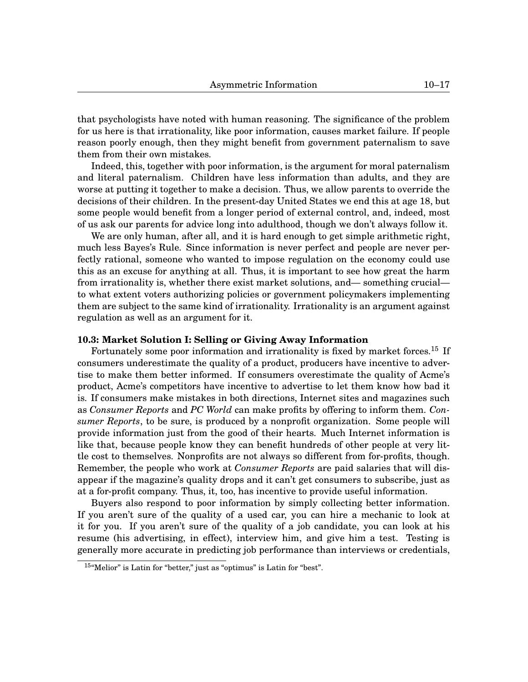that psychologists have noted with human reasoning. The significance of the problem for us here is that irrationality, like poor information, causes market failure. If people reason poorly enough, then they might benefit from government paternalism to save them from their own mistakes.

Indeed, this, together with poor information, is the argument for moral paternalism and literal paternalism. Children have less information than adults, and they are worse at putting it together to make a decision. Thus, we allow parents to override the decisions of their children. In the present-day United States we end this at age 18, but some people would benefit from a longer period of external control, and, indeed, most of us ask our parents for advice long into adulthood, though we don't always follow it.

We are only human, after all, and it is hard enough to get simple arithmetic right, much less Bayes's Rule. Since information is never perfect and people are never perfectly rational, someone who wanted to impose regulation on the economy could use this as an excuse for anything at all. Thus, it is important to see how great the harm from irrationality is, whether there exist market solutions, and— something crucial to what extent voters authorizing policies or government policymakers implementing them are subject to the same kind of irrationality. Irrationality is an argument against regulation as well as an argument for it.

#### **[10.](#page-0-0)3: Market Solution I: Selling or Giving Away Information**

Fortunately some poor information and irrationality is fixed by market forces.<sup>[15](#page-0-1)</sup> If consumers underestimate the quality of a product, producers have incentive to advertise to make them better informed. If consumers overestimate the quality of Acme's product, Acme's competitors have incentive to advertise to let them know how bad it is. If consumers make mistakes in both directions, Internet sites and magazines such as *Consumer Reports* and *PC World* can make profits by offering to inform them. *Consumer Reports*, to be sure, is produced by a nonprofit organization. Some people will provide information just from the good of their hearts. Much Internet information is like that, because people know they can benefit hundreds of other people at very little cost to themselves. Nonprofits are not always so different from for-profits, though. Remember, the people who work at *Consumer Reports* are paid salaries that will disappear if the magazine's quality drops and it can't get consumers to subscribe, just as at a for-profit company. Thus, it, too, has incentive to provide useful information.

Buyers also respond to poor information by simply collecting better information. If you aren't sure of the quality of a used car, you can hire a mechanic to look at it for you. If you aren't sure of the quality of a job candidate, you can look at his resume (his advertising, in effect), interview him, and give him a test. Testing is generally more accurate in predicting job performance than interviews or credentials,

<sup>15</sup>"Melior" is Latin for "better," just as "optimus" is Latin for "best".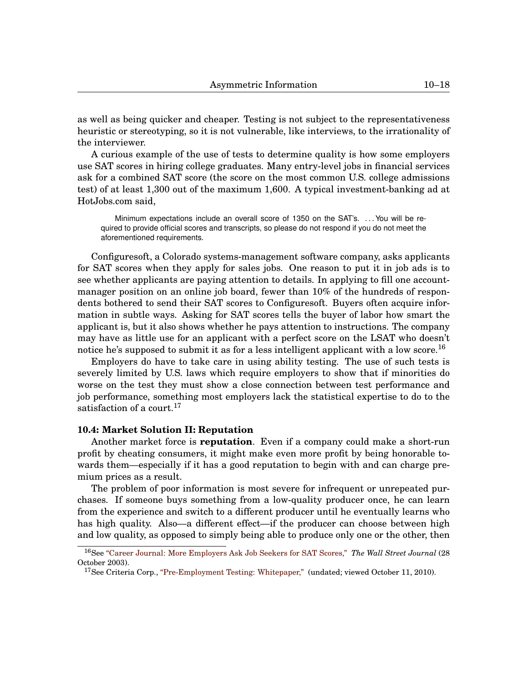as well as being quicker and cheaper. Testing is not subject to the representativeness heuristic or stereotyping, so it is not vulnerable, like interviews, to the irrationality of the interviewer.

A curious example of the use of tests to determine quality is how some employers use SAT scores in hiring college graduates. Many entry-level jobs in financial services ask for a combined SAT score (the score on the most common U.S. college admissions test) of at least 1,300 out of the maximum 1,600. A typical investment-banking ad at HotJobs.com said,

Minimum expectations include an overall score of 1350 on the SAT's. . . . You will be required to provide official scores and transcripts, so please do not respond if you do not meet the aforementioned requirements.

Configuresoft, a Colorado systems-management software company, asks applicants for SAT scores when they apply for sales jobs. One reason to put it in job ads is to see whether applicants are paying attention to details. In applying to fill one accountmanager position on an online job board, fewer than 10% of the hundreds of respondents bothered to send their SAT scores to Configuresoft. Buyers often acquire information in subtle ways. Asking for SAT scores tells the buyer of labor how smart the applicant is, but it also shows whether he pays attention to instructions. The company may have as little use for an applicant with a perfect score on the LSAT who doesn't notice he's supposed to submit it as for a less intelligent applicant with a low score.<sup>[16](#page-0-1)</sup>

Employers do have to take care in using ability testing. The use of such tests is severely limited by U.S. laws which require employers to show that if minorities do worse on the test they must show a close connection between test performance and job performance, something most employers lack the statistical expertise to do to the satisfaction of a court.<sup>[17](#page-0-1)</sup>

# **[10.](#page-0-0)4: Market Solution II: Reputation**

Another market force is **reputation**. Even if a company could make a short-run profit by cheating consumers, it might make even more profit by being honorable towards them—especially if it has a good reputation to begin with and can charge premium prices as a result.

The problem of poor information is most severe for infrequent or unrepeated purchases. If someone buys something from a low-quality producer once, he can learn from the experience and switch to a different producer until he eventually learns who has high quality. Also—a different effect—if the producer can choose between high and low quality, as opposed to simply being able to produce only one or the other, then

<sup>16</sup>See ["Career Journal: More Employers Ask Job Seekers for SAT Scores,"](http://online.wsj.com/news/articles/SB106729501444224900) *The Wall Street Journal* (28 October 2003).

<sup>&</sup>lt;sup>17</sup>See Criteria Corp., ["Pre-Employment Testing: Whitepaper,"](http://www.criteriacorp.com/resources/employers.php) (undated; viewed October 11, 2010).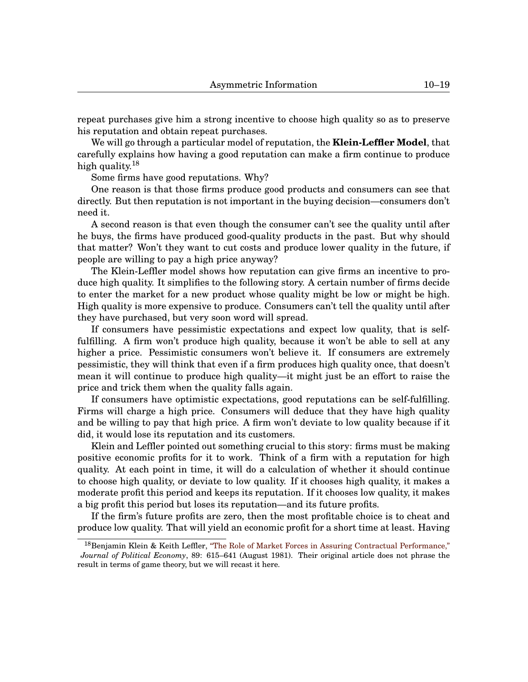repeat purchases give him a strong incentive to choose high quality so as to preserve his reputation and obtain repeat purchases.

We will go through a particular model of reputation, the **Klein-Leffler Model**, that carefully explains how having a good reputation can make a firm continue to produce high quality.<sup>[18](#page-0-1)</sup>

Some firms have good reputations. Why?

One reason is that those firms produce good products and consumers can see that directly. But then reputation is not important in the buying decision—consumers don't need it.

A second reason is that even though the consumer can't see the quality until after he buys, the firms have produced good-quality products in the past. But why should that matter? Won't they want to cut costs and produce lower quality in the future, if people are willing to pay a high price anyway?

The Klein-Leffler model shows how reputation can give firms an incentive to produce high quality. It simplifies to the following story. A certain number of firms decide to enter the market for a new product whose quality might be low or might be high. High quality is more expensive to produce. Consumers can't tell the quality until after they have purchased, but very soon word will spread.

If consumers have pessimistic expectations and expect low quality, that is selffulfilling. A firm won't produce high quality, because it won't be able to sell at any higher a price. Pessimistic consumers won't believe it. If consumers are extremely pessimistic, they will think that even if a firm produces high quality once, that doesn't mean it will continue to produce high quality—it might just be an effort to raise the price and trick them when the quality falls again.

If consumers have optimistic expectations, good reputations can be self-fulfilling. Firms will charge a high price. Consumers will deduce that they have high quality and be willing to pay that high price. A firm won't deviate to low quality because if it did, it would lose its reputation and its customers.

Klein and Leffler pointed out something crucial to this story: firms must be making positive economic profits for it to work. Think of a firm with a reputation for high quality. At each point in time, it will do a calculation of whether it should continue to choose high quality, or deviate to low quality. If it chooses high quality, it makes a moderate profit this period and keeps its reputation. If it chooses low quality, it makes a big profit this period but loses its reputation—and its future profits.

If the firm's future profits are zero, then the most profitable choice is to cheat and produce low quality. That will yield an economic profit for a short time at least. Having

<sup>&</sup>lt;sup>18</sup>Benjamin Klein & Keith Leffler, ["The Role of Market Forces in Assuring Contractual Performance,"](http://www.jstor.org/stable/1833028) *Journal of Political Economy*, 89: 615–641 (August 1981). Their original article does not phrase the result in terms of game theory, but we will recast it here.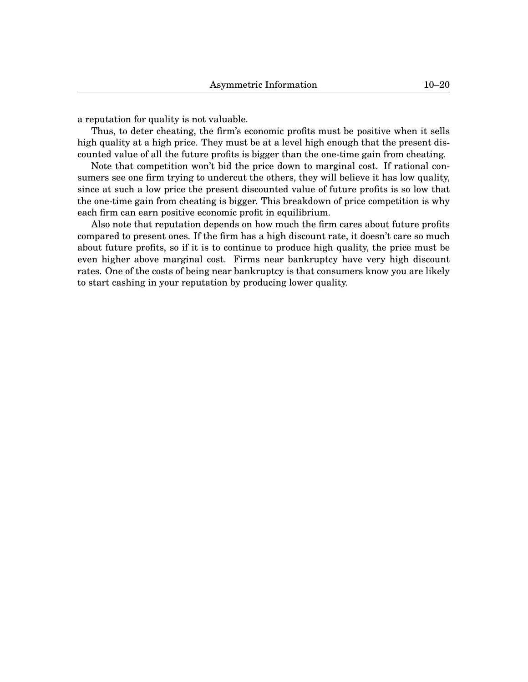a reputation for quality is not valuable.

Thus, to deter cheating, the firm's economic profits must be positive when it sells high quality at a high price. They must be at a level high enough that the present discounted value of all the future profits is bigger than the one-time gain from cheating.

Note that competition won't bid the price down to marginal cost. If rational consumers see one firm trying to undercut the others, they will believe it has low quality, since at such a low price the present discounted value of future profits is so low that the one-time gain from cheating is bigger. This breakdown of price competition is why each firm can earn positive economic profit in equilibrium.

Also note that reputation depends on how much the firm cares about future profits compared to present ones. If the firm has a high discount rate, it doesn't care so much about future profits, so if it is to continue to produce high quality, the price must be even higher above marginal cost. Firms near bankruptcy have very high discount rates. One of the costs of being near bankruptcy is that consumers know you are likely to start cashing in your reputation by producing lower quality.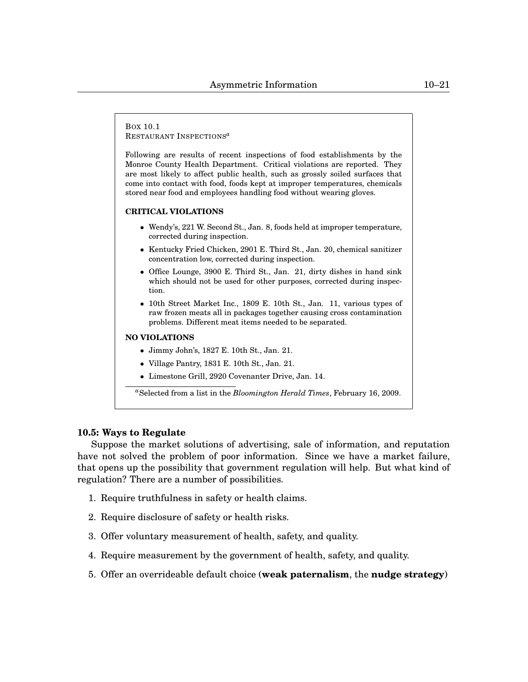BOX [10.](#page-0-0)1 RESTAURANT INSPECTIONS*[a](#page-0-1)*

Following are results of recent inspections of food establishments by the Monroe County Health Department. Critical violations are reported. They are most likely to affect public health, such as grossly soiled surfaces that come into contact with food, foods kept at improper temperatures, chemicals stored near food and employees handling food without wearing gloves.

#### **CRITICAL VIOLATIONS**

- Wendy's, 221 W. Second St., Jan. 8, foods held at improper temperature, corrected during inspection.
- Kentucky Fried Chicken, 2901 E. Third St., Jan. 20, chemical sanitizer concentration low, corrected during inspection.
- Office Lounge, 3900 E. Third St., Jan. 21, dirty dishes in hand sink which should not be used for other purposes, corrected during inspection.
- 10th Street Market Inc., 1809 E. 10th St., Jan. 11, various types of raw frozen meats all in packages together causing cross contamination problems. Different meat items needed to be separated.

## **NO VIOLATIONS**

- Jimmy John's, 1827 E. 10th St., Jan. 21.
- Village Pantry, 1831 E. 10th St., Jan. 21.
- Limestone Grill, 2920 Covenanter Drive, Jan. 14.

*<sup>a</sup>*Selected from a list in the *Bloomington Herald Times*, February 16, 2009.

## **[10.](#page-0-0)5: Ways to Regulate**

Suppose the market solutions of advertising, sale of information, and reputation have not solved the problem of poor information. Since we have a market failure, that opens up the possibility that government regulation will help. But what kind of regulation? There are a number of possibilities.

- 1. Require truthfulness in safety or health claims.
- 2. Require disclosure of safety or health risks.
- 3. Offer voluntary measurement of health, safety, and quality.
- 4. Require measurement by the government of health, safety, and quality.
- 5. Offer an overrideable default choice (**weak paternalism**, the **nudge strategy**)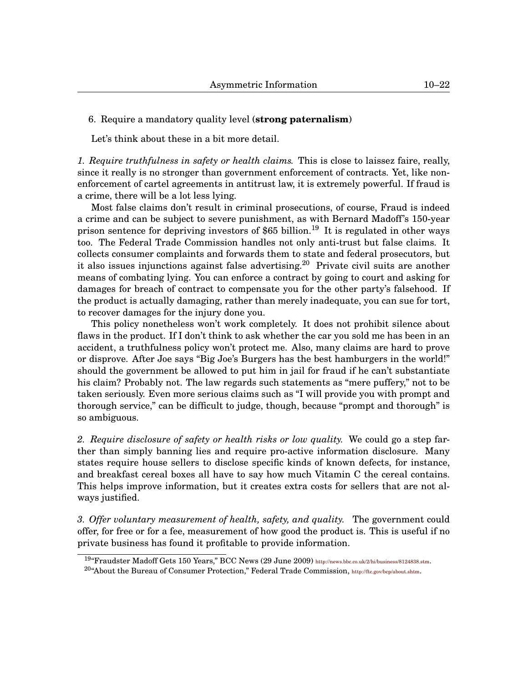# 6. Require a mandatory quality level (**strong paternalism**)

Let's think about these in a bit more detail.

*1. Require truthfulness in safety or health claims.* This is close to laissez faire, really, since it really is no stronger than government enforcement of contracts. Yet, like nonenforcement of cartel agreements in antitrust law, it is extremely powerful. If fraud is a crime, there will be a lot less lying.

Most false claims don't result in criminal prosecutions, of course, Fraud is indeed a crime and can be subject to severe punishment, as with Bernard Madoff's 150-year prison sentence for depriving investors of \$65 billion.<sup>[19](#page-0-1)</sup> It is regulated in other ways too. The Federal Trade Commission handles not only anti-trust but false claims. It collects consumer complaints and forwards them to state and federal prosecutors, but it also issues injunctions against false advertising.<sup>[20](#page-0-1)</sup> Private civil suits are another means of combating lying. You can enforce a contract by going to court and asking for damages for breach of contract to compensate you for the other party's falsehood. If the product is actually damaging, rather than merely inadequate, you can sue for tort, to recover damages for the injury done you.

This policy nonetheless won't work completely. It does not prohibit silence about flaws in the product. If I don't think to ask whether the car you sold me has been in an accident, a truthfulness policy won't protect me. Also, many claims are hard to prove or disprove. After Joe says "Big Joe's Burgers has the best hamburgers in the world!" should the government be allowed to put him in jail for fraud if he can't substantiate his claim? Probably not. The law regards such statements as "mere puffery," not to be taken seriously. Even more serious claims such as "I will provide you with prompt and thorough service," can be difficult to judge, though, because "prompt and thorough" is so ambiguous.

*2. Require disclosure of safety or health risks or low quality.* We could go a step farther than simply banning lies and require pro-active information disclosure. Many states require house sellers to disclose specific kinds of known defects, for instance, and breakfast cereal boxes all have to say how much Vitamin C the cereal contains. This helps improve information, but it creates extra costs for sellers that are not always justified.

*3. Offer voluntary measurement of health, safety, and quality.* The government could offer, for free or for a fee, measurement of how good the product is. This is useful if no private business has found it profitable to provide information.

<sup>19</sup>"Fraudster Madoff Gets 150 Years," BCC News (29 June 2009) <http://news.bbc.co.uk/2/hi/business/8124838.stm>.

 $^{20}$ "About the Bureau of Consumer Protection," Federal Trade Commission, <http://ftc.gov/bcp/about.shtm>.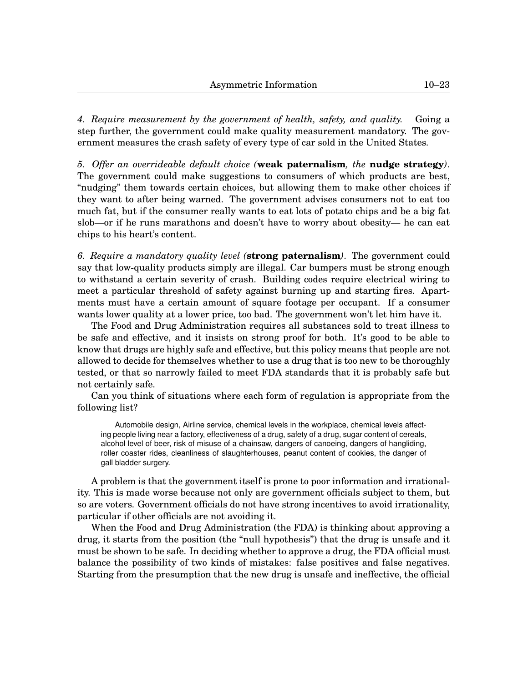*4. Require measurement by the government of health, safety, and quality.* Going a step further, the government could make quality measurement mandatory. The government measures the crash safety of every type of car sold in the United States.

*5. Offer an overrideable default choice (***weak paternalism***, the* **nudge strategy***)*. The government could make suggestions to consumers of which products are best, "nudging" them towards certain choices, but allowing them to make other choices if they want to after being warned. The government advises consumers not to eat too much fat, but if the consumer really wants to eat lots of potato chips and be a big fat slob—or if he runs marathons and doesn't have to worry about obesity— he can eat chips to his heart's content.

*6. Require a mandatory quality level (***strong paternalism***)*. The government could say that low-quality products simply are illegal. Car bumpers must be strong enough to withstand a certain severity of crash. Building codes require electrical wiring to meet a particular threshold of safety against burning up and starting fires. Apartments must have a certain amount of square footage per occupant. If a consumer wants lower quality at a lower price, too bad. The government won't let him have it.

The Food and Drug Administration requires all substances sold to treat illness to be safe and effective, and it insists on strong proof for both. It's good to be able to know that drugs are highly safe and effective, but this policy means that people are not allowed to decide for themselves whether to use a drug that is too new to be thoroughly tested, or that so narrowly failed to meet FDA standards that it is probably safe but not certainly safe.

Can you think of situations where each form of regulation is appropriate from the following list?

Automobile design, Airline service, chemical levels in the workplace, chemical levels affecting people living near a factory, effectiveness of a drug, safety of a drug, sugar content of cereals, alcohol level of beer, risk of misuse of a chainsaw, dangers of canoeing, dangers of hangliding, roller coaster rides, cleanliness of slaughterhouses, peanut content of cookies, the danger of gall bladder surgery.

A problem is that the government itself is prone to poor information and irrationality. This is made worse because not only are government officials subject to them, but so are voters. Government officials do not have strong incentives to avoid irrationality, particular if other officials are not avoiding it.

When the Food and Drug Administration (the FDA) is thinking about approving a drug, it starts from the position (the "null hypothesis") that the drug is unsafe and it must be shown to be safe. In deciding whether to approve a drug, the FDA official must balance the possibility of two kinds of mistakes: false positives and false negatives. Starting from the presumption that the new drug is unsafe and ineffective, the official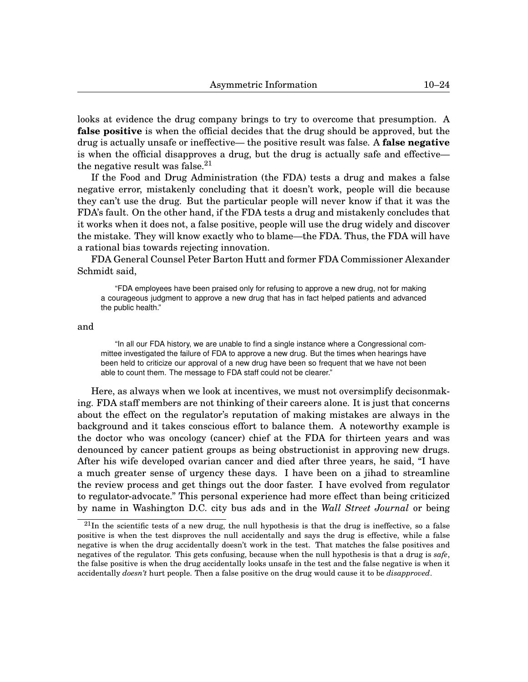looks at evidence the drug company brings to try to overcome that presumption. A **false positive** is when the official decides that the drug should be approved, but the drug is actually unsafe or ineffective— the positive result was false. A **false negative** is when the official disapproves a drug, but the drug is actually safe and effective the negative result was false.  $2<sup>1</sup>$ 

If the Food and Drug Administration (the FDA) tests a drug and makes a false negative error, mistakenly concluding that it doesn't work, people will die because they can't use the drug. But the particular people will never know if that it was the FDA's fault. On the other hand, if the FDA tests a drug and mistakenly concludes that it works when it does not, a false positive, people will use the drug widely and discover the mistake. They will know exactly who to blame—the FDA. Thus, the FDA will have a rational bias towards rejecting innovation.

FDA General Counsel Peter Barton Hutt and former FDA Commissioner Alexander Schmidt said,

"FDA employees have been praised only for refusing to approve a new drug, not for making a courageous judgment to approve a new drug that has in fact helped patients and advanced the public health."

and

"In all our FDA history, we are unable to find a single instance where a Congressional committee investigated the failure of FDA to approve a new drug. But the times when hearings have been held to criticize our approval of a new drug have been so frequent that we have not been able to count them. The message to FDA staff could not be clearer."

Here, as always when we look at incentives, we must not oversimplify decisonmaking. FDA staff members are not thinking of their careers alone. It is just that concerns about the effect on the regulator's reputation of making mistakes are always in the background and it takes conscious effort to balance them. A noteworthy example is the doctor who was oncology (cancer) chief at the FDA for thirteen years and was denounced by cancer patient groups as being obstructionist in approving new drugs. After his wife developed ovarian cancer and died after three years, he said, "I have a much greater sense of urgency these days. I have been on a jihad to streamline the review process and get things out the door faster. I have evolved from regulator to regulator-advocate." This personal experience had more effect than being criticized by name in Washington D.C. city bus ads and in the *Wall Street Journal* or being

 $21$ In the scientific tests of a new drug, the null hypothesis is that the drug is ineffective, so a false positive is when the test disproves the null accidentally and says the drug is effective, while a false negative is when the drug accidentally doesn't work in the test. That matches the false positives and negatives of the regulator. This gets confusing, because when the null hypothesis is that a drug is *safe*, the false positive is when the drug accidentally looks unsafe in the test and the false negative is when it accidentally *doesn't* hurt people. Then a false positive on the drug would cause it to be *disapproved*.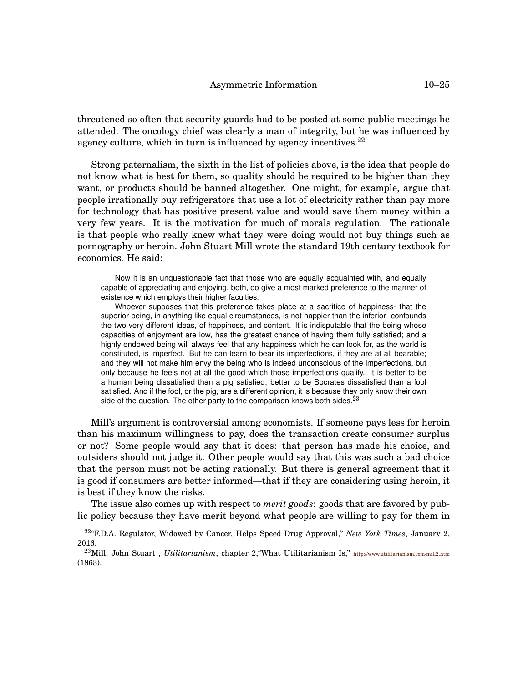threatened so often that security guards had to be posted at some public meetings he attended. The oncology chief was clearly a man of integrity, but he was influenced by agency culture, which in turn is influenced by agency incentives.  $22$ 

Strong paternalism, the sixth in the list of policies above, is the idea that people do not know what is best for them, so quality should be required to be higher than they want, or products should be banned altogether. One might, for example, argue that people irrationally buy refrigerators that use a lot of electricity rather than pay more for technology that has positive present value and would save them money within a very few years. It is the motivation for much of morals regulation. The rationale is that people who really knew what they were doing would not buy things such as pornography or heroin. John Stuart Mill wrote the standard 19th century textbook for economics. He said:

Now it is an unquestionable fact that those who are equally acquainted with, and equally capable of appreciating and enjoying, both, do give a most marked preference to the manner of existence which employs their higher faculties.

Whoever supposes that this preference takes place at a sacrifice of happiness- that the superior being, in anything like equal circumstances, is not happier than the inferior- confounds the two very different ideas, of happiness, and content. It is indisputable that the being whose capacities of enjoyment are low, has the greatest chance of having them fully satisfied; and a highly endowed being will always feel that any happiness which he can look for, as the world is constituted, is imperfect. But he can learn to bear its imperfections, if they are at all bearable; and they will not make him envy the being who is indeed unconscious of the imperfections, but only because he feels not at all the good which those imperfections qualify. It is better to be a human being dissatisfied than a pig satisfied; better to be Socrates dissatisfied than a fool satisfied. And if the fool, or the pig, are a different opinion, it is because they only know their own side of the question. The other party to the comparison knows both sides. $^{23}$  $^{23}$  $^{23}$ 

Mill's argument is controversial among economists. If someone pays less for heroin than his maximum willingness to pay, does the transaction create consumer surplus or not? Some people would say that it does: that person has made his choice, and outsiders should not judge it. Other people would say that this was such a bad choice that the person must not be acting rationally. But there is general agreement that it is good if consumers are better informed—that if they are considering using heroin, it is best if they know the risks.

The issue also comes up with respect to *merit goods*: goods that are favored by public policy because they have merit beyond what people are willing to pay for them in

<sup>22</sup>"F.D.A. Regulator, Widowed by Cancer, Helps Speed Drug Approval," *New York Times*, January 2, 2016.

<sup>23</sup>Mill, John Stuart , *Utilitarianism*, chapter 2,"What Utilitarianism Is," <http://www.utilitarianism.com/mill2.htm> (1863).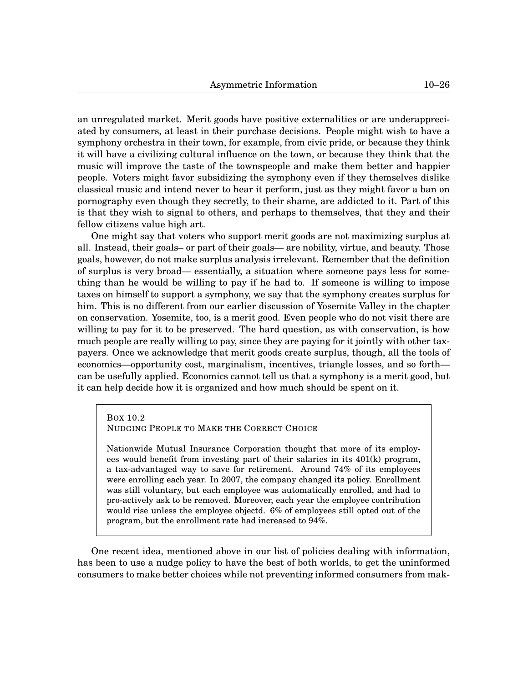an unregulated market. Merit goods have positive externalities or are underappreciated by consumers, at least in their purchase decisions. People might wish to have a symphony orchestra in their town, for example, from civic pride, or because they think it will have a civilizing cultural influence on the town, or because they think that the music will improve the taste of the townspeople and make them better and happier people. Voters might favor subsidizing the symphony even if they themselves dislike classical music and intend never to hear it perform, just as they might favor a ban on pornography even though they secretly, to their shame, are addicted to it. Part of this is that they wish to signal to others, and perhaps to themselves, that they and their fellow citizens value high art.

One might say that voters who support merit goods are not maximizing surplus at all. Instead, their goals– or part of their goals— are nobility, virtue, and beauty. Those goals, however, do not make surplus analysis irrelevant. Remember that the definition of surplus is very broad— essentially, a situation where someone pays less for something than he would be willing to pay if he had to. If someone is willing to impose taxes on himself to support a symphony, we say that the symphony creates surplus for him. This is no different from our earlier discussion of Yosemite Valley in the chapter on conservation. Yosemite, too, is a merit good. Even people who do not visit there are willing to pay for it to be preserved. The hard question, as with conservation, is how much people are really willing to pay, since they are paying for it jointly with other taxpayers. Once we acknowledge that merit goods create surplus, though, all the tools of economics—opportunity cost, marginalism, incentives, triangle losses, and so forth can be usefully applied. Economics cannot tell us that a symphony is a merit good, but it can help decide how it is organized and how much should be spent on it.

# <span id="page-25-0"></span>BOX [10](#page-0-0)[.2](#page-25-0) NUDGING PEOPLE TO MAKE THE CORRECT CHOICE

Nationwide Mutual Insurance Corporation thought that more of its employees would benefit from investing part of their salaries in its 401(k) program, a tax-advantaged way to save for retirement. Around 74% of its employees were enrolling each year. In 2007, the company changed its policy. Enrollment was still voluntary, but each employee was automatically enrolled, and had to pro-actively ask to be removed. Moreover, each year the employee contribution would rise unless the employee objectd. 6% of employees still opted out of the program, but the enrollment rate had increased to 94%.

One recent idea, mentioned above in our list of policies dealing with information, has been to use a nudge policy to have the best of both worlds, to get the uninformed consumers to make better choices while not preventing informed consumers from mak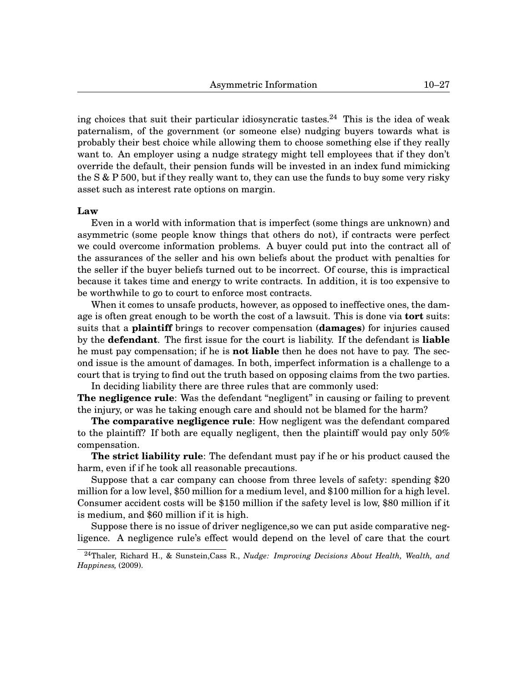ing choices that suit their particular idiosyncratic tastes.<sup>[24](#page-0-1)</sup> This is the idea of weak paternalism, of the government (or someone else) nudging buyers towards what is probably their best choice while allowing them to choose something else if they really want to. An employer using a nudge strategy might tell employees that if they don't override the default, their pension funds will be invested in an index fund mimicking the  $S & P 500$ , but if they really want to, they can use the funds to buy some very risky asset such as interest rate options on margin.

#### **Law**

Even in a world with information that is imperfect (some things are unknown) and asymmetric (some people know things that others do not), if contracts were perfect we could overcome information problems. A buyer could put into the contract all of the assurances of the seller and his own beliefs about the product with penalties for the seller if the buyer beliefs turned out to be incorrect. Of course, this is impractical because it takes time and energy to write contracts. In addition, it is too expensive to be worthwhile to go to court to enforce most contracts.

When it comes to unsafe products, however, as opposed to ineffective ones, the damage is often great enough to be worth the cost of a lawsuit. This is done via **tort** suits: suits that a **plaintiff** brings to recover compensation (**damages**) for injuries caused by the **defendant**. The first issue for the court is liability. If the defendant is **liable** he must pay compensation; if he is **not liable** then he does not have to pay. The second issue is the amount of damages. In both, imperfect information is a challenge to a court that is trying to find out the truth based on opposing claims from the two parties.

In deciding liability there are three rules that are commonly used: **The negligence rule**: Was the defendant "negligent" in causing or failing to prevent the injury, or was he taking enough care and should not be blamed for the harm?

**The comparative negligence rule**: How negligent was the defendant compared to the plaintiff? If both are equally negligent, then the plaintiff would pay only 50% compensation.

**The strict liability rule**: The defendant must pay if he or his product caused the harm, even if if he took all reasonable precautions.

Suppose that a car company can choose from three levels of safety: spending \$20 million for a low level, \$50 million for a medium level, and \$100 million for a high level. Consumer accident costs will be \$150 million if the safety level is low, \$80 million if it is medium, and \$60 million if it is high.

Suppose there is no issue of driver negligence,so we can put aside comparative negligence. A negligence rule's effect would depend on the level of care that the court

<sup>24</sup>Thaler, Richard H., & Sunstein,Cass R., *Nudge: Improving Decisions About Health, Wealth, and Happiness,* (2009).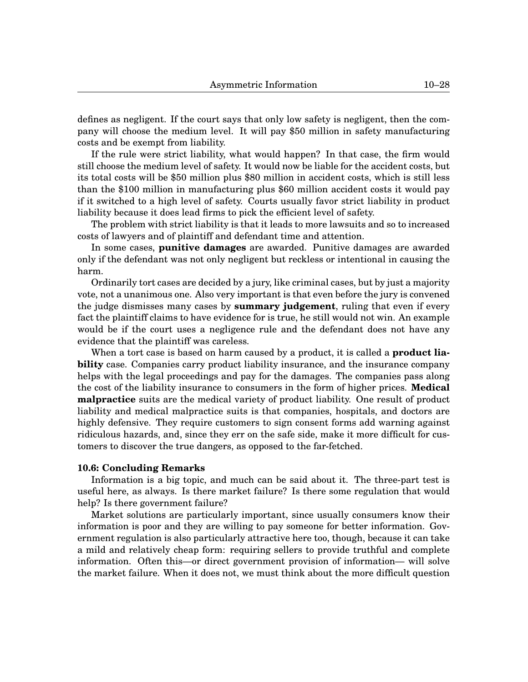defines as negligent. If the court says that only low safety is negligent, then the company will choose the medium level. It will pay \$50 million in safety manufacturing costs and be exempt from liability.

If the rule were strict liability, what would happen? In that case, the firm would still choose the medium level of safety. It would now be liable for the accident costs, but its total costs will be \$50 million plus \$80 million in accident costs, which is still less than the \$100 million in manufacturing plus \$60 million accident costs it would pay if it switched to a high level of safety. Courts usually favor strict liability in product liability because it does lead firms to pick the efficient level of safety.

The problem with strict liability is that it leads to more lawsuits and so to increased costs of lawyers and of plaintiff and defendant time and attention.

In some cases, **punitive damages** are awarded. Punitive damages are awarded only if the defendant was not only negligent but reckless or intentional in causing the harm.

Ordinarily tort cases are decided by a jury, like criminal cases, but by just a majority vote, not a unanimous one. Also very important is that even before the jury is convened the judge dismisses many cases by **summary judgement**, ruling that even if every fact the plaintiff claims to have evidence for is true, he still would not win. An example would be if the court uses a negligence rule and the defendant does not have any evidence that the plaintiff was careless.

When a tort case is based on harm caused by a product, it is called a **product liability** case. Companies carry product liability insurance, and the insurance company helps with the legal proceedings and pay for the damages. The companies pass along the cost of the liability insurance to consumers in the form of higher prices. **Medical malpractice** suits are the medical variety of product liability. One result of product liability and medical malpractice suits is that companies, hospitals, and doctors are highly defensive. They require customers to sign consent forms add warning against ridiculous hazards, and, since they err on the safe side, make it more difficult for customers to discover the true dangers, as opposed to the far-fetched.

## **[10.](#page-0-0)6: Concluding Remarks**

Information is a big topic, and much can be said about it. The three-part test is useful here, as always. Is there market failure? Is there some regulation that would help? Is there government failure?

Market solutions are particularly important, since usually consumers know their information is poor and they are willing to pay someone for better information. Government regulation is also particularly attractive here too, though, because it can take a mild and relatively cheap form: requiring sellers to provide truthful and complete information. Often this—or direct government provision of information— will solve the market failure. When it does not, we must think about the more difficult question